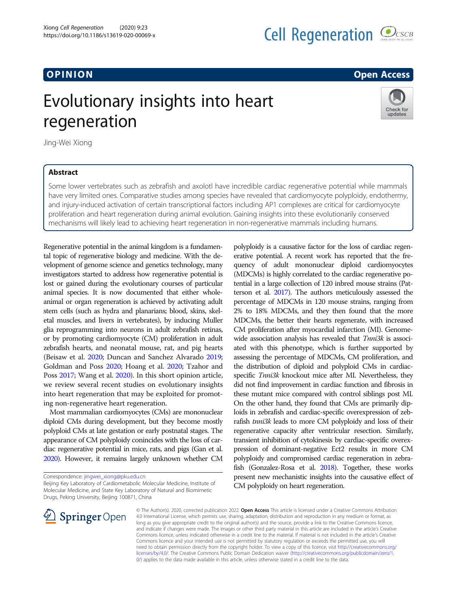# O PINION Open Access

# Evolutionary insights into heart regeneration



Jing-Wei Xiong

## Abstract

Some lower vertebrates such as zebrafish and axolotl have incredible cardiac regenerative potential while mammals have very limited ones. Comparative studies among species have revealed that cardiomyocyte polyploidy, endothermy, and injury-induced activation of certain transcriptional factors including AP1 complexes are critical for cardiomyocyte proliferation and heart regeneration during animal evolution. Gaining insights into these evolutionarily conserved mechanisms will likely lead to achieving heart regeneration in non-regenerative mammals including humans.

Regenerative potential in the animal kingdom is a fundamental topic of regenerative biology and medicine. With the development of genome science and genetics technology, many investigators started to address how regenerative potential is lost or gained during the evolutionary courses of particular animal species. It is now documented that either wholeanimal or organ regeneration is achieved by activating adult stem cells (such as hydra and planarians; blood, skins, skeletal muscles, and livers in vertebrates), by inducing Muller glia reprogramming into neurons in adult zebrafish retinas, or by promoting cardiomyocyte (CM) proliferation in adult zebrafish hearts, and neonatal mouse, rat, and pig hearts (Beisaw et al. [2020;](#page-1-0) Duncan and Sanchez Alvarado [2019](#page-1-0); Goldman and Poss [2020;](#page-1-0) Hoang et al. [2020](#page-1-0); Tzahor and Poss [2017;](#page-1-0) Wang et al. [2020\)](#page-1-0). In this short opinion article, we review several recent studies on evolutionary insights into heart regeneration that may be exploited for promoting non-regenerative heart regeneration.

Most mammalian cardiomyocytes (CMs) are mononuclear diploid CMs during development, but they become mostly polyploid CMs at late gestation or early postnatal stages. The appearance of CM polyploidy conincides with the loss of cardiac regenerative potential in mice, rats, and pigs (Gan et al. [2020\)](#page-1-0). However, it remains largely unknown whether CM

Correspondence: [jingwei\\_xiong@pku.edu.cn](mailto:jingwei_xiong@pku.edu.cn)

Beijing Key Laboratory of Cardiometabolic Molecular Medicine, Institute of Molecular Medicine, and State Key Laboratory of Natural and Biomimetic Drugs, Peking University, Beijing 100871, China



polyploidy is a causative factor for the loss of cardiac regenerative potential. A recent work has reported that the frequency of adult mononuclear diploid cardiomyocytes (MDCMs) is highly correlated to the cardiac regenerative potential in a large collection of 120 inbred mouse strains (Patterson et al. [2017\)](#page-1-0). The authors meticulously assessed the percentage of MDCMs in 120 mouse strains, ranging from 2% to 18% MDCMs, and they then found that the more MDCMs, the better their hearts regenerate, with increased CM proliferation after myocardial infarction (MI). Genomewide association analysis has revealed that Tnni3k is associated with this phenotype, which is further supported by assessing the percentage of MDCMs, CM proliferation, and the distribution of diploid and polyploid CMs in cardiacspecific Tnni3k knockout mice after MI. Nevertheless, they did not find improvement in cardiac function and fibrosis in these mutant mice compared with control siblings post MI. On the other hand, they found that CMs are primarily diploids in zebrafish and cardiac-specific overexpression of zebrafish tnni3k leads to more CM polyploidy and loss of their regenerative capacity after ventricular resection. Similarly, transient inhibition of cytokinesis by cardiac-specific overexpression of dominant-negative Ect2 results in more CM polyploidy and compromised cardiac regeneration in zebrafish (Gonzalez-Rosa et al. [2018\)](#page-1-0). Together, these works present new mechanistic insights into the causative effect of CM polyploidy on heart regeneration.

© The Author(s). 2020, corrected publication 2022. Open Access This article is licensed under a Creative Commons Attribution 4.0 International License, which permits use, sharing, adaptation, distribution and reproduction in any medium or format, as long as you give appropriate credit to the original author(s) and the source, provide a link to the Creative Commons licence, and indicate if changes were made. The images or other third party material in this article are included in the article's Creative Commons licence, unless indicated otherwise in a credit line to the material. If material is not included in the article's Creative Commons licence and your intended use is not permitted by statutory regulation or exceeds the permitted use, you will need to obtain permission directly from the copyright holder. To view a copy of this licence, visit [http://creativecommons.org/](http://creativecommons.org/licenses/by/4.0/) [licenses/by/4.0/.](http://creativecommons.org/licenses/by/4.0/) The Creative Commons Public Domain Dedication waive[r \(http://creativecommons.org/publicdomain/zero/1.](http://creativecommons.org/publicdomain/zero/1.0/) [0/\)](http://creativecommons.org/publicdomain/zero/1.0/) applies to the data made available in this article, unless otherwise stated in a credit line to the data.